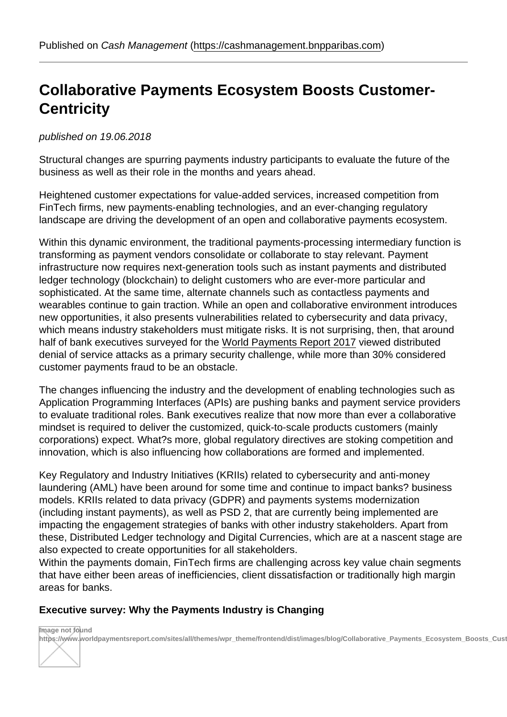## Collaborative Paymen[ts Ecosystem Boosts Custom](https://cashmanagement.bnpparibas.com)er-**Centricity**

published on 19.06.2018

Structural changes are spurring payments industry participants to evaluate the future of the business as well as their role in the months and years ahead.

Heightened customer expectations for value-added services, increased competition from FinTech firms, new payments-enabling technologies, and an ever-changing regulatory landscape are driving the development of an open and collaborative payments ecosystem.

Within this dynamic environment, the traditional payments-processing intermediary function is transforming as payment vendors consolidate or collaborate to stay relevant. Payment infrastructure now requires next-generation tools such as instant payments and distributed ledger technology (blockchain) to delight customers who are ever-more particular and sophisticated. At the same time, alternate channels such as contactless payments and wearables continue to gain traction. While an open and collaborative environment introduces new opportunities, it also presents vulnerabilities related to cybersecurity and data privacy, which means industry stakeholders must mitigate risks. It is not surprising, then, that around half of bank executives surveyed for the World Payments Report 2017 viewed distributed denial of service attacks as a primary security challenge, while more than 30% considered customer payments fraud to be an obstacle.

The changes influencing the industry an[d the development of enabling](https://www.worldpaymentsreport.com/) technologies such as Application Programming Interfaces (APIs) are pushing banks and payment service providers to evaluate traditional roles. Bank executives realize that now more than ever a collaborative mindset is required to deliver the customized, quick-to-scale products customers (mainly corporations) expect. What?s more, global regulatory directives are stoking competition and innovation, which is also influencing how collaborations are formed and implemented.

Key Regulatory and Industry Initiatives (KRIIs) related to cybersecurity and anti-money laundering (AML) have been around for some time and continue to impact banks? business models. KRIIs related to data privacy (GDPR) and payments systems modernization (including instant payments), as well as PSD 2, that are currently being implemented are impacting the engagement strategies of banks with other industry stakeholders. Apart from these, Distributed Ledger technology and Digital Currencies, which are at a nascent stage are also expected to create opportunities for all stakeholders.

Within the payments domain, FinTech firms are challenging across key value chain segments that have either been areas of inefficiencies, client dissatisfaction or traditionally high margin areas for banks.

Executive survey: Why the Payments Industry is Changing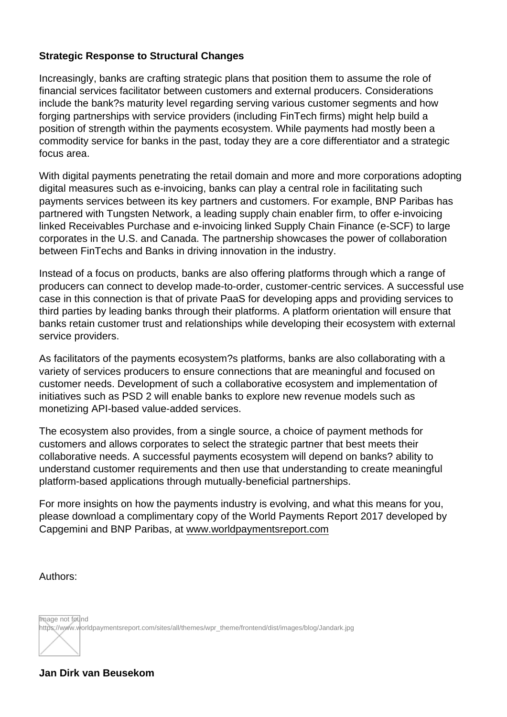## Strategic Response to Structural Changes

Increasingly, banks are crafting strategic plans that position them to assume the role of financial services facilitator between customers and external producers. Considerations include the bank?s maturity level regarding serving various customer segments and how forging partnerships with service providers (including FinTech firms) might help build a position of strength within the payments ecosystem. While payments had mostly been a commodity service for banks in the past, today they are a core differentiator and a strategic focus area.

With digital payments penetrating the retail domain and more and more corporations adopting digital measures such as e-invoicing, banks can play a central role in facilitating such payments services between its key partners and customers. For example, BNP Paribas has partnered with Tungsten Network, a leading supply chain enabler firm, to offer e-invoicing linked Receivables Purchase and e-invoicing linked Supply Chain Finance (e-SCF) to large corporates in the U.S. and Canada. The partnership showcases the power of collaboration between FinTechs and Banks in driving innovation in the industry.

Instead of a focus on products, banks are also offering platforms through which a range of producers can connect to develop made-to-order, customer-centric services. A successful use case in this connection is that of private PaaS for developing apps and providing services to third parties by leading banks through their platforms. A platform orientation will ensure that banks retain customer trust and relationships while developing their ecosystem with external service providers.

As facilitators of the payments ecosystem?s platforms, banks are also collaborating with a variety of services producers to ensure connections that are meaningful and focused on customer needs. Development of such a collaborative ecosystem and implementation of initiatives such as PSD 2 will enable banks to explore new revenue models such as monetizing API-based value-added services.

The ecosystem also provides, from a single source, a choice of payment methods for customers and allows corporates to select the strategic partner that best meets their collaborative needs. A successful payments ecosystem will depend on banks? ability to understand customer requirements and then use that understanding to create meaningful platform-based applications through mutually-beneficial partnerships.

For more insights on how the payments industry is evolving, and what this means for you, please download a complimentary copy of the World Payments Report 2017 developed by Capgemini and BNP Paribas, at www.worldpaymentsreport.com

Authors: